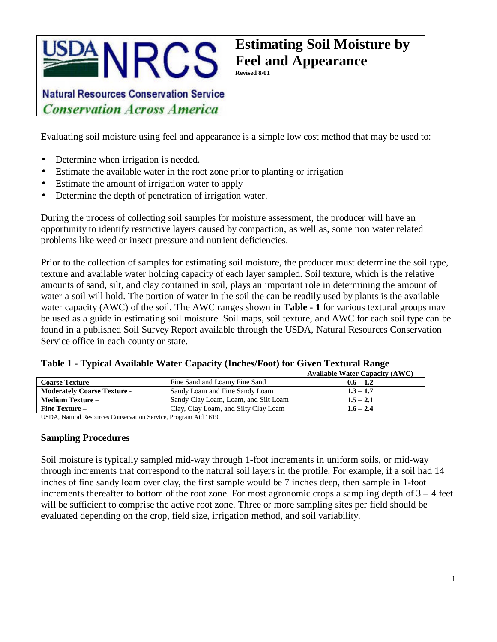

**Natural Resources Conservation Service Conservation Across America** 

Evaluating soil moisture using feel and appearance is a simple low cost method that may be used to:

- Determine when irrigation is needed.
- Estimate the available water in the root zone prior to planting or irrigation
- Estimate the amount of irrigation water to apply
- Determine the depth of penetration of irrigation water.

During the process of collecting soil samples for moisture assessment, the producer will have an opportunity to identify restrictive layers caused by compaction, as well as, some non water related problems like weed or insect pressure and nutrient deficiencies.

Prior to the collection of samples for estimating soil moisture, the producer must determine the soil type, texture and available water holding capacity of each layer sampled. Soil texture, which is the relative amounts of sand, silt, and clay contained in soil, plays an important role in determining the amount of water a soil will hold. The portion of water in the soil the can be readily used by plants is the available water capacity (AWC) of the soil. The AWC ranges shown in **Table - 1** for various textural groups may be used as a guide in estimating soil moisture. Soil maps, soil texture, and AWC for each soil type can be found in a published Soil Survey Report available through the USDA, Natural Resources Conservation Service office in each county or state.

|                                    |                                      | <b>Available Water Capacity (AWC)</b> |
|------------------------------------|--------------------------------------|---------------------------------------|
| <b>Coarse Texture –</b>            | Fine Sand and Loamy Fine Sand        | $0.6 - 1.2$                           |
| <b>Moderately Coarse Texture -</b> | Sandy Loam and Fine Sandy Loam       | $1.3 - 1.7$                           |
| <b>Medium Texture –</b>            | Sandy Clay Loam, Loam, and Silt Loam | $1.5 - 2.1$                           |
| <b>Fine Texture –</b>              | Clay, Clay Loam, and Silty Clay Loam | $1.6 - 2.4$                           |

|  |  |  |  | Table 1 - Typical Available Water Capacity (Inches/Foot) for Given Textural Range |  |
|--|--|--|--|-----------------------------------------------------------------------------------|--|
|  |  |  |  |                                                                                   |  |

USDA, Natural Resources Conservation Service, Program Aid 1619.

#### **Sampling Procedures**

Soil moisture is typically sampled mid-way through 1-foot increments in uniform soils, or mid-way through increments that correspond to the natural soil layers in the profile. For example, if a soil had 14 inches of fine sandy loam over clay, the first sample would be 7 inches deep, then sample in 1-foot increments thereafter to bottom of the root zone. For most agronomic crops a sampling depth of  $3 - 4$  feet will be sufficient to comprise the active root zone. Three or more sampling sites per field should be evaluated depending on the crop, field size, irrigation method, and soil variability.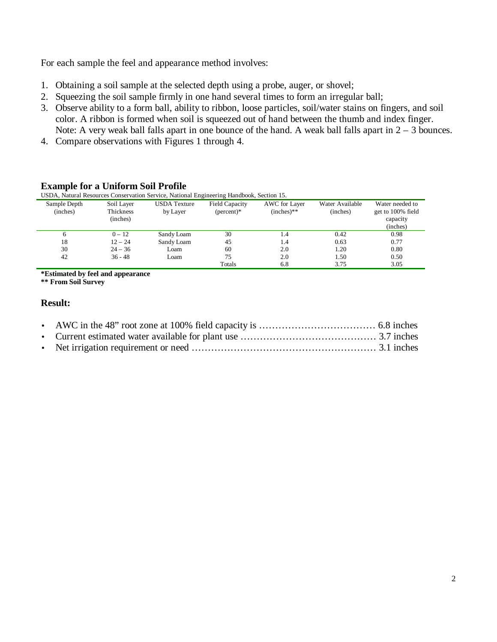For each sample the feel and appearance method involves:

- 1. Obtaining a soil sample at the selected depth using a probe, auger, or shovel;
- 2. Squeezing the soil sample firmly in one hand several times to form an irregular ball;
- 3. Observe ability to a form ball, ability to ribbon, loose particles, soil/water stains on fingers, and soil color. A ribbon is formed when soil is squeezed out of hand between the thumb and index finger. Note: A very weak ball falls apart in one bounce of the hand. A weak ball falls apart in  $2 - 3$  bounces.
- 4. Compare observations with Figures 1 through 4.

### **Example for a Uniform Soil Profile**

USDA, Natural Resources Conservation Service, National Engineering Handbook, Section 15.

| Sample Depth<br>(inches) | Soil Layer<br>Thickness<br>(inches) | <b>USDA</b> Texture<br>by Layer | <b>Field Capacity</b><br>$(\text{percent})^*$ | AWC for Layer<br>$(inches)**$ | Water Available<br>(inches) | Water needed to<br>get to 100% field<br>capacity<br>(inches) |
|--------------------------|-------------------------------------|---------------------------------|-----------------------------------------------|-------------------------------|-----------------------------|--------------------------------------------------------------|
| 6                        | $0 - 12$                            | Sandy Loam                      | 30                                            | 1.4                           | 0.42                        | 0.98                                                         |
| 18                       | $12 - 24$                           | Sandy Loam                      | 45                                            | 1.4                           | 0.63                        | 0.77                                                         |
| 30                       | $24 - 36$                           | Loam                            | 60                                            | 2.0                           | 1.20                        | 0.80                                                         |
| 42                       | $36 - 48$                           | Loam                            | 75                                            | 2.0                           | 1.50                        | 0.50                                                         |
|                          |                                     |                                 | Totals                                        | 6.8                           | 3.75                        | 3.05                                                         |

**\*Estimated by feel and appearance**

**\*\* From Soil Survey**

### **Result:**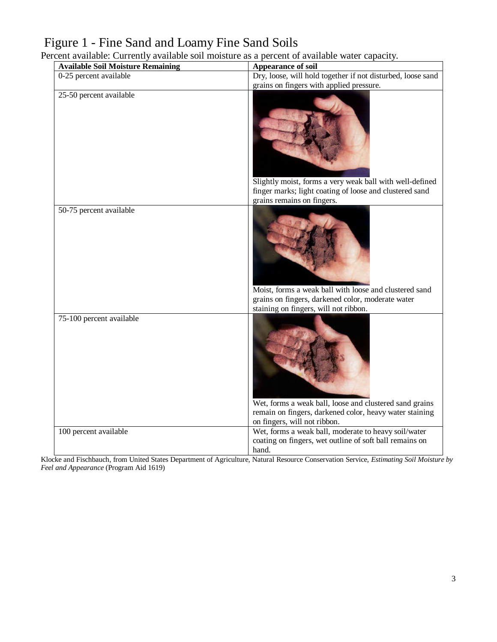# Figure 1 - Fine Sand and Loamy Fine Sand Soils

Percent available: Currently available soil moisture as a percent of available water capacity.

| <b>Available Soil Moisture Remaining</b> | Appearance of soil                                                                                                                                   |
|------------------------------------------|------------------------------------------------------------------------------------------------------------------------------------------------------|
| $\overline{0-25}$ percent available      | Dry, loose, will hold together if not disturbed, loose sand                                                                                          |
|                                          | grains on fingers with applied pressure.                                                                                                             |
| 25-50 percent available                  | Slightly moist, forms a very weak ball with well-defined<br>finger marks; light coating of loose and clustered sand<br>grains remains on fingers.    |
| 50-75 percent available                  | Moist, forms a weak ball with loose and clustered sand<br>grains on fingers, darkened color, moderate water<br>staining on fingers, will not ribbon. |
| 75-100 percent available                 | Wet, forms a weak ball, loose and clustered sand grains<br>remain on fingers, darkened color, heavy water staining<br>on fingers, will not ribbon.   |
| 100 percent available                    | Wet, forms a weak ball, moderate to heavy soil/water<br>coating on fingers, wet outline of soft ball remains on<br>hand.                             |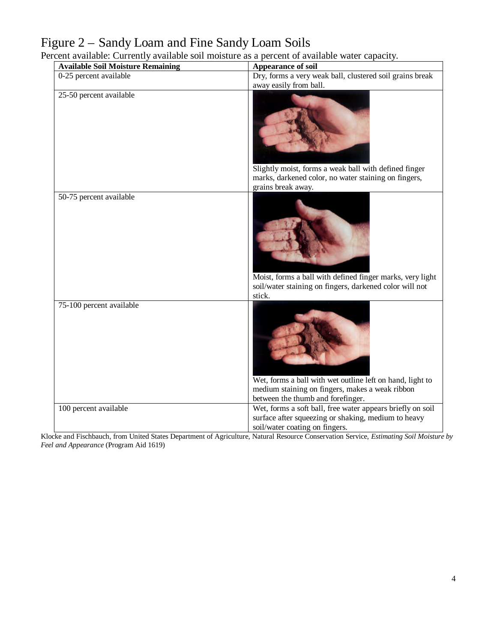# Figure 2 – Sandy Loam and Fine Sandy Loam Soils

Percent available: Currently available soil moisture as a percent of available water capacity.

| <b>Available Soil Moisture Remaining</b> | Appearance of soil                                                                                                                                  |
|------------------------------------------|-----------------------------------------------------------------------------------------------------------------------------------------------------|
| 0-25 percent available                   | Dry, forms a very weak ball, clustered soil grains break                                                                                            |
|                                          | away easily from ball.                                                                                                                              |
| 25-50 percent available                  | Slightly moist, forms a weak ball with defined finger<br>marks, darkened color, no water staining on fingers,<br>grains break away.                 |
| 50-75 percent available                  | Moist, forms a ball with defined finger marks, very light<br>soil/water staining on fingers, darkened color will not<br>stick.                      |
| 75-100 percent available                 | Wet, forms a ball with wet outline left on hand, light to<br>medium staining on fingers, makes a weak ribbon<br>between the thumb and forefinger.   |
| 100 percent available                    | Wet, forms a soft ball, free water appears briefly on soil<br>surface after squeezing or shaking, medium to heavy<br>soil/water coating on fingers. |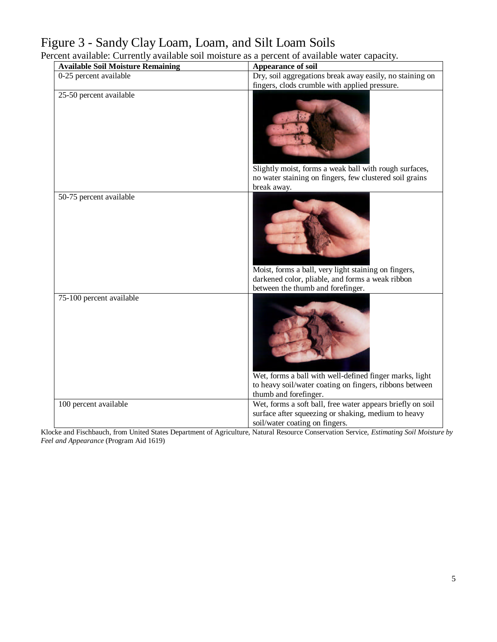### Figure 3 - Sandy Clay Loam, Loam, and Silt Loam Soils

Percent available: Currently available soil moisture as a percent of available water capacity.

| <b>Available Soil Moisture Remaining</b> | Appearance of soil                                                                                                                                  |
|------------------------------------------|-----------------------------------------------------------------------------------------------------------------------------------------------------|
| 0-25 percent available                   | Dry, soil aggregations break away easily, no staining on                                                                                            |
|                                          | fingers, clods crumble with applied pressure.                                                                                                       |
| 25-50 percent available                  | Slightly moist, forms a weak ball with rough surfaces,<br>no water staining on fingers, few clustered soil grains<br>break away.                    |
| 50-75 percent available                  | Moist, forms a ball, very light staining on fingers,<br>darkened color, pliable, and forms a weak ribbon<br>between the thumb and forefinger.       |
| 75-100 percent available                 | Wet, forms a ball with well-defined finger marks, light<br>to heavy soil/water coating on fingers, ribbons between<br>thumb and forefinger.         |
| 100 percent available                    | Wet, forms a soft ball, free water appears briefly on soil<br>surface after squeezing or shaking, medium to heavy<br>soil/water coating on fingers. |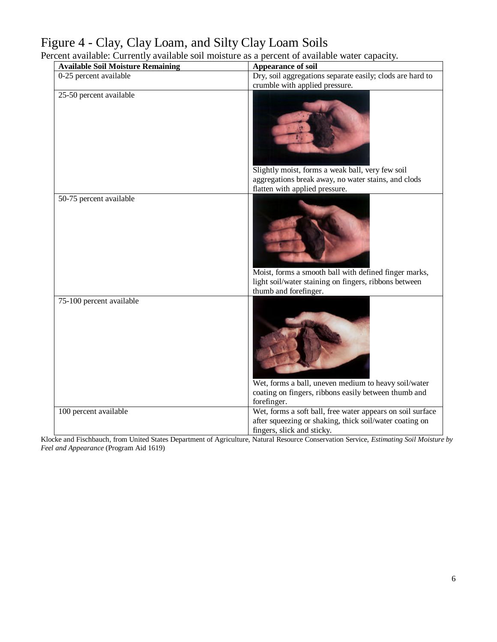# Figure 4 - Clay, Clay Loam, and Silty Clay Loam Soils

Percent available: Currently available soil moisture as a percent of available water capacity.

| <b>Available Soil Moisture Remaining</b> | Appearance of soil                                                                                                                                  |
|------------------------------------------|-----------------------------------------------------------------------------------------------------------------------------------------------------|
| 0-25 percent available                   | Dry, soil aggregations separate easily; clods are hard to                                                                                           |
|                                          | crumble with applied pressure.                                                                                                                      |
| 25-50 percent available                  | Slightly moist, forms a weak ball, very few soil<br>aggregations break away, no water stains, and clods<br>flatten with applied pressure.           |
| 50-75 percent available                  |                                                                                                                                                     |
|                                          | Moist, forms a smooth ball with defined finger marks,<br>light soil/water staining on fingers, ribbons between<br>thumb and forefinger.             |
| 75-100 percent available                 | Wet, forms a ball, uneven medium to heavy soil/water<br>coating on fingers, ribbons easily between thumb and<br>forefinger.                         |
| 100 percent available                    | Wet, forms a soft ball, free water appears on soil surface<br>after squeezing or shaking, thick soil/water coating on<br>fingers, slick and sticky. |